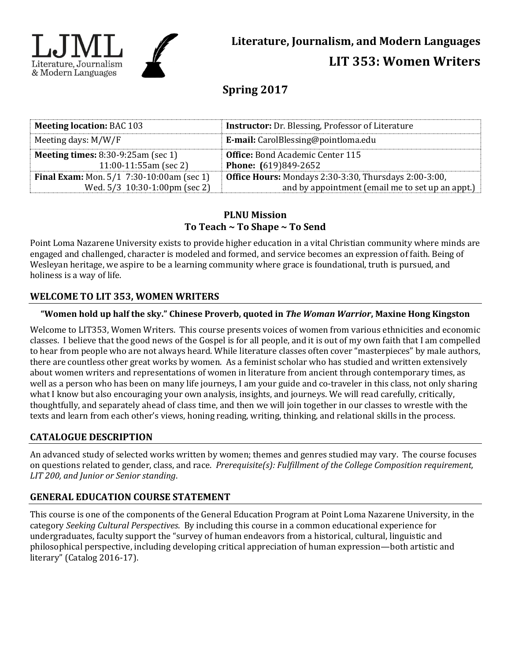

# **Spring 2017**

| <b>Meeting location: BAC 103</b>                   | <b>Instructor:</b> Dr. Blessing, Professor of Literature     |  |
|----------------------------------------------------|--------------------------------------------------------------|--|
| Meeting days: $M/W/F$                              | <b>E-mail:</b> CarolBlessing@pointloma.edu                   |  |
| <b>Meeting times:</b> $8:30-9:25am$ (sec 1)        | <b>Office:</b> Bond Academic Center 115                      |  |
| $11:00-11:55am$ (sec 2)                            | <b>Phone:</b> (619)849-2652                                  |  |
| <b>Final Exam:</b> Mon. $5/1$ 7:30-10:00am (sec 1) | <b>Office Hours:</b> Mondays 2:30-3:30, Thursdays 2:00-3:00, |  |
| Wed. 5/3 10:30-1:00pm (sec 2)                      | and by appointment (email me to set up an appt.)             |  |

# **PLNU Mission To Teach ~ To Shape ~ To Send**

Point Loma Nazarene University exists to provide higher education in a vital Christian community where minds are engaged and challenged, character is modeled and formed, and service becomes an expression of faith. Being of Wesleyan heritage, we aspire to be a learning community where grace is foundational, truth is pursued, and holiness is a way of life.

# **WELCOME TO LIT 353, WOMEN WRITERS**

## **"Women hold up half the sky." Chinese Proverb, quoted in** *The Woman Warrior***, Maxine Hong Kingston**

Welcome to LIT353, Women Writers. This course presents voices of women from various ethnicities and economic classes. I believe that the good news of the Gospel is for all people, and it is out of my own faith that I am compelled to hear from people who are not always heard. While literature classes often cover "masterpieces" by male authors, there are countless other great works by women. As a feminist scholar who has studied and written extensively about women writers and representations of women in literature from ancient through contemporary times, as well as a person who has been on many life journeys, I am your guide and co-traveler in this class, not only sharing what I know but also encouraging your own analysis, insights, and journeys. We will read carefully, critically, thoughtfully, and separately ahead of class time, and then we will join together in our classes to wrestle with the texts and learn from each other's views, honing reading, writing, thinking, and relational skills in the process.

# **CATALOGUE DESCRIPTION**

An advanced study of selected works written by women; themes and genres studied may vary. The course focuses on questions related to gender, class, and race. *Prerequisite(s): Fulfillment of the College Composition requirement, LIT 200, and Junior or Senior standing*.

# **GENERAL EDUCATION COURSE STATEMENT**

This course is one of the components of the General Education Program at Point Loma Nazarene University, in the category *Seeking Cultural Perspectives*. By including this course in a common educational experience for undergraduates, faculty support the "survey of human endeavors from a historical, cultural, linguistic and philosophical perspective, including developing critical appreciation of human expression—both artistic and literary" (Catalog 2016-17).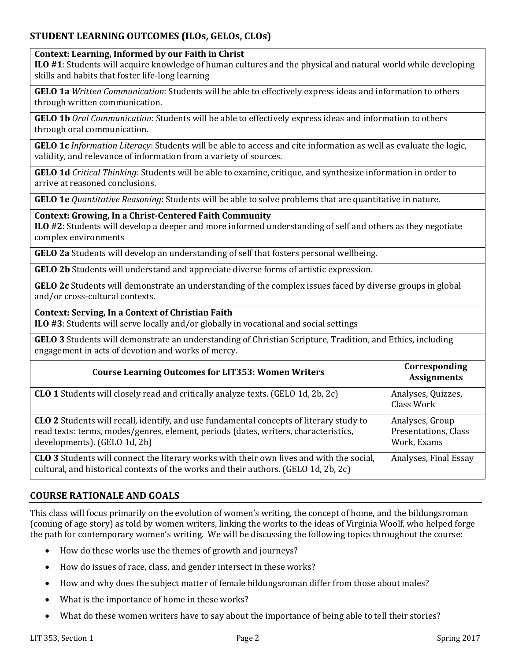# **STUDENT LEARNING OUTCOMES (ILOs, GELOs, CLOs)**

#### **Context: Learning, Informed by our Faith in Christ**

**ILO #1**: Students will acquire knowledge of human cultures and the physical and natural world while developing skills and habits that foster life-long learning

**GELO 1a** *Written Communication*: Students will be able to effectively express ideas and information to others through written communication.

**GELO 1b** *Oral Communication*: Students will be able to effectively express ideas and information to others through oral communication.

**GELO 1c** *Information Literacy*: Students will be able to access and cite information as well as evaluate the logic, validity, and relevance of information from a variety of sources.

**GELO 1d** *Critical Thinking*: Students will be able to examine, critique, and synthesize information in order to arrive at reasoned conclusions.

**GELO 1e** *Quantitative Reasoning*: Students will be able to solve problems that are quantitative in nature.

#### **Context: Growing, In a Christ-Centered Faith Community**

**ILO #2**: Students will develop a deeper and more informed understanding of self and others as they negotiate complex environments

**GELO 2a** Students will develop an understanding of self that fosters personal wellbeing.

**GELO 2b** Students will understand and appreciate diverse forms of artistic expression.

**GELO 2c** Students will demonstrate an understanding of the complex issues faced by diverse groups in global and/or cross-cultural contexts.

#### **Context: Serving, In a Context of Christian Faith**

**ILO #3**: Students will serve locally and/or globally in vocational and social settings

**GELO 3** Students will demonstrate an understanding of Christian Scripture, Tradition, and Ethics, including engagement in acts of devotion and works of mercy.

| <b>Course Learning Outcomes for LIT353: Women Writers</b>                                                                                                                                                             | Corresponding<br><b>Assignments</b>                    |
|-----------------------------------------------------------------------------------------------------------------------------------------------------------------------------------------------------------------------|--------------------------------------------------------|
| <b>CLO 1</b> Students will closely read and critically analyze texts. (GELO 1d, 2b, 2c)                                                                                                                               | Analyses, Quizzes,<br>Class Work                       |
| <b>CLO 2</b> Students will recall, identify, and use fundamental concepts of literary study to<br>read texts: terms, modes/genres, element, periods (dates, writers, characteristics,<br>developments). (GELO 1d, 2b) | Analyses, Group<br>Presentations, Class<br>Work, Exams |
| <b>CLO 3</b> Students will connect the literary works with their own lives and with the social,<br>cultural, and historical contexts of the works and their authors. (GELO 1d, 2b, 2c)                                | Analyses, Final Essay                                  |

## **COURSE RATIONALE AND GOALS**

This class will focus primarily on the evolution of women's writing, the concept of home, and the bildungsroman (coming of age story) as told by women writers, linking the works to the ideas of Virginia Woolf, who helped forge the path for contemporary women's writing. We will be discussing the following topics throughout the course:

- How do these works use the themes of growth and journeys?
- How do issues of race, class, and gender intersect in these works?
- How and why does the subject matter of female bildungsroman differ from those about males?
- What is the importance of home in these works?
- What do these women writers have to say about the importance of being able to tell their stories?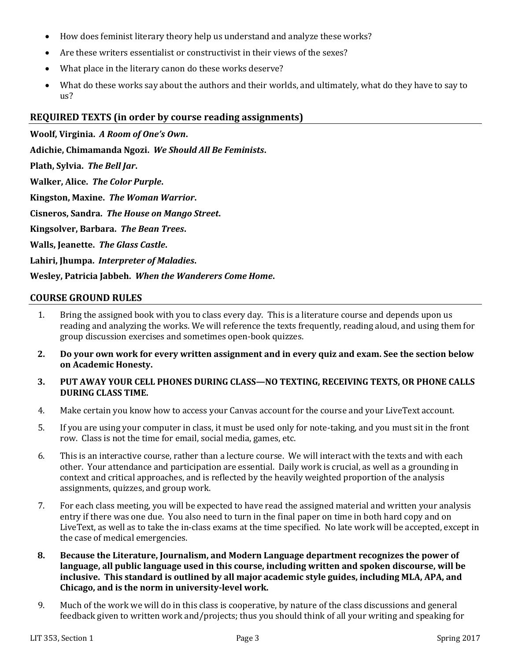- How does feminist literary theory help us understand and analyze these works?
- Are these writers essentialist or constructivist in their views of the sexes?
- What place in the literary canon do these works deserve?
- What do these works say about the authors and their worlds, and ultimately, what do they have to say to us?

### **REQUIRED TEXTS (in order by course reading assignments)**

**Woolf, Virginia.** *A Room of One's Own***.**

**Adichie, Chimamanda Ngozi.** *We Should All Be Feminists***.**

**Plath, Sylvia.** *The Bell Jar***.**

**Walker, Alice.** *The Color Purple***.**

**Kingston, Maxine.** *The Woman Warrior***.**

**Cisneros, Sandra.** *The House on Mango Street***.**

**Kingsolver, Barbara.** *The Bean Trees***.**

**Walls, Jeanette.** *The Glass Castle***.**

**Lahiri, Jhumpa.** *Interpreter of Maladies***.**

**Wesley, Patricia Jabbeh.** *When the Wanderers Come Home***.**

#### **COURSE GROUND RULES**

- 1. Bring the assigned book with you to class every day. This is a literature course and depends upon us reading and analyzing the works. We will reference the texts frequently, reading aloud, and using them for group discussion exercises and sometimes open-book quizzes.
- **2. Do your own work for every written assignment and in every quiz and exam. See the section below on Academic Honesty.**
- **3. PUT AWAY YOUR CELL PHONES DURING CLASS—NO TEXTING, RECEIVING TEXTS, OR PHONE CALLS DURING CLASS TIME.**
- 4. Make certain you know how to access your Canvas account for the course and your LiveText account.
- 5. If you are using your computer in class, it must be used only for note-taking, and you must sit in the front row. Class is not the time for email, social media, games, etc.
- 6. This is an interactive course, rather than a lecture course. We will interact with the texts and with each other. Your attendance and participation are essential. Daily work is crucial, as well as a grounding in context and critical approaches, and is reflected by the heavily weighted proportion of the analysis assignments, quizzes, and group work.
- 7. For each class meeting, you will be expected to have read the assigned material and written your analysis entry if there was one due. You also need to turn in the final paper on time in both hard copy and on LiveText, as well as to take the in-class exams at the time specified. No late work will be accepted, except in the case of medical emergencies.
- **8. Because the Literature, Journalism, and Modern Language department recognizes the power of language, all public language used in this course, including written and spoken discourse, will be inclusive. This standard is outlined by all major academic style guides, including MLA, APA, and Chicago, and is the norm in university-level work.**
- 9. Much of the work we will do in this class is cooperative, by nature of the class discussions and general feedback given to written work and/projects; thus you should think of all your writing and speaking for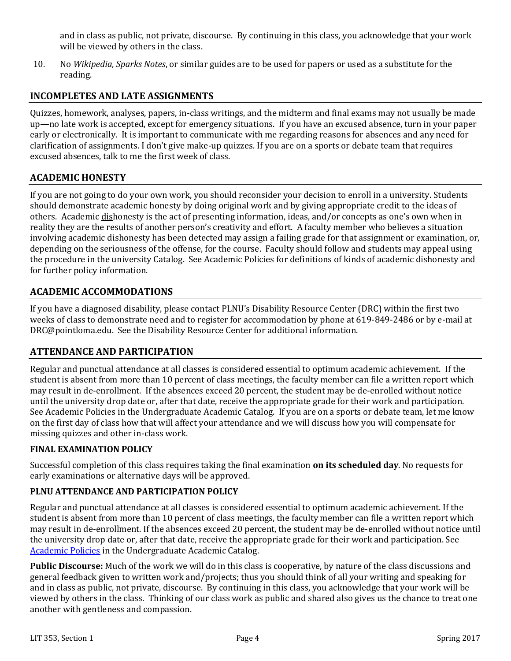and in class as public, not private, discourse. By continuing in this class, you acknowledge that your work will be viewed by others in the class.

10. No *Wikipedia*, *Sparks Notes*, or similar guides are to be used for papers or used as a substitute for the reading.

# **INCOMPLETES AND LATE ASSIGNMENTS**

Quizzes, homework, analyses, papers, in-class writings, and the midterm and final exams may not usually be made up—no late work is accepted, except for emergency situations. If you have an excused absence, turn in your paper early or electronically. It is important to communicate with me regarding reasons for absences and any need for clarification of assignments. I don't give make-up quizzes. If you are on a sports or debate team that requires excused absences, talk to me the first week of class.

## **ACADEMIC HONESTY**

If you are not going to do your own work, you should reconsider your decision to enroll in a university. Students should demonstrate academic honesty by doing original work and by giving appropriate credit to the ideas of others. Academic dishonesty is the act of presenting information, ideas, and/or concepts as one's own when in reality they are the results of another person's creativity and effort. A faculty member who believes a situation involving academic dishonesty has been detected may assign a failing grade for that assignment or examination, or, depending on the seriousness of the offense, for the course. Faculty should follow and students may appeal using the procedure in the university Catalog. See Academic Policies for definitions of kinds of academic dishonesty and for further policy information.

### **ACADEMIC ACCOMMODATIONS**

If you have a diagnosed disability, please contact PLNU's Disability Resource Center (DRC) within the first two weeks of class to demonstrate need and to register for accommodation by phone at 619-849-2486 or by e-mail at DRC@pointloma.edu. See the Disability Resource Center for additional information.

## **ATTENDANCE AND PARTICIPATION**

Regular and punctual attendance at all classes is considered essential to optimum academic achievement. If the student is absent from more than 10 percent of class meetings, the faculty member can file a written report which may result in de-enrollment. If the absences exceed 20 percent, the student may be de-enrolled without notice until the university drop date or, after that date, receive the appropriate grade for their work and participation. See Academic Policies in the Undergraduate Academic Catalog. If you are on a sports or debate team, let me know on the first day of class how that will affect your attendance and we will discuss how you will compensate for missing quizzes and other in-class work.

#### **FINAL EXAMINATION POLICY**

Successful completion of this class requires taking the final examination **on its scheduled day**. No requests for early examinations or alternative days will be approved.

#### **PLNU ATTENDANCE AND PARTICIPATION POLICY**

Regular and punctual attendance at all classes is considered essential to optimum academic achievement. If the student is absent from more than 10 percent of class meetings, the faculty member can file a written report which may result in de-enrollment. If the absences exceed 20 percent, the student may be de-enrolled without notice until the university drop date or, after that date, receive the appropriate grade for their work and participation. See [Academic Policies](http://catalog.pointloma.edu/content.php?catoid=18&navoid=1278) in the Undergraduate Academic Catalog.

**Public Discourse:** Much of the work we will do in this class is cooperative, by nature of the class discussions and general feedback given to written work and/projects; thus you should think of all your writing and speaking for and in class as public, not private, discourse. By continuing in this class, you acknowledge that your work will be viewed by others in the class. Thinking of our class work as public and shared also gives us the chance to treat one another with gentleness and compassion.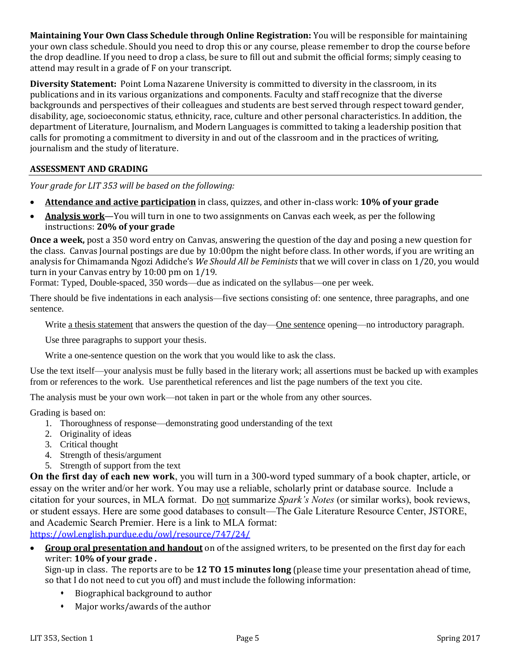**Maintaining Your Own Class Schedule through Online Registration:** You will be responsible for maintaining your own class schedule. Should you need to drop this or any course, please remember to drop the course before the drop deadline. If you need to drop a class, be sure to fill out and submit the official forms; simply ceasing to attend may result in a grade of F on your transcript.

**Diversity Statement:** Point Loma Nazarene University is committed to diversity in the classroom, in its publications and in its various organizations and components. Faculty and staff recognize that the diverse backgrounds and perspectives of their colleagues and students are best served through respect toward gender, disability, age, socioeconomic status, ethnicity, race, culture and other personal characteristics. In addition, the department of Literature, Journalism, and Modern Languages is committed to taking a leadership position that calls for promoting a commitment to diversity in and out of the classroom and in the practices of writing, journalism and the study of literature.

## **ASSESSMENT AND GRADING**

*Your grade for LIT 353 will be based on the following:*

- **Attendance and active participation** in class, quizzes, and other in-class work: **10% of your grade**
- **Analysis work**—You will turn in one to two assignments on Canvas each week, as per the following instructions: **20% of your grade**

**Once a week,** post a 350 word entry on Canvas, answering the question of the day and posing a new question for the class. Canvas Journal postings are due by 10:00pm the night before class. In other words, if you are writing an analysis for Chimamanda Ngozi Adidche's *We Should All be Feminists* that we will cover in class on 1/20, you would turn in your Canvas entry by 10:00 pm on 1/19.

Format: Typed, Double-spaced, 350 words—due as indicated on the syllabus—one per week.

There should be five indentations in each analysis—five sections consisting of: one sentence, three paragraphs, and one sentence.

Write <u>a thesis statement</u> that answers the question of the day—One sentence opening—no introductory paragraph.

Use three paragraphs to support your thesis.

Write a one-sentence question on the work that you would like to ask the class.

Use the text itself—your analysis must be fully based in the literary work; all assertions must be backed up with examples from or references to the work. Use parenthetical references and list the page numbers of the text you cite.

The analysis must be your own work—not taken in part or the whole from any other sources.

Grading is based on:

- 1. Thoroughness of response—demonstrating good understanding of the text
- 2. Originality of ideas
- 3. Critical thought
- 4. Strength of thesis/argument
- 5. Strength of support from the text

**On the first day of each new work**, you will turn in a 300-word typed summary of a book chapter, article, or essay on the writer and/or her work. You may use a reliable, scholarly print or database source. Include a citation for your sources, in MLA format. Do not summarize *Spark's Notes* (or similar works), book reviews, or student essays. Here are some good databases to consult—The Gale Literature Resource Center, JSTORE, and Academic Search Premier. Here is a link to MLA format: <https://owl.english.purdue.edu/owl/resource/747/24/>

 **Group oral presentation and handout** on of the assigned writers, to be presented on the first day for each writer: **10% of your grade .**

Sign-up in class. The reports are to be **12 TO 15 minutes long** (please time your presentation ahead of time, so that I do not need to cut you off) and must include the following information:

- Biographical background to author
- Major works/awards of the author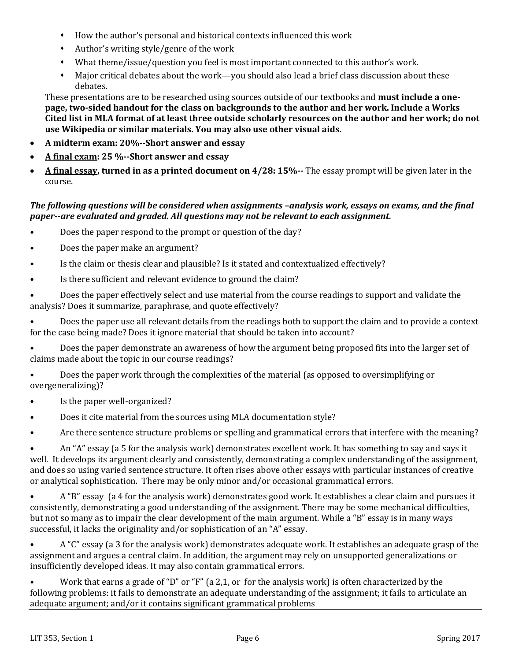- How the author's personal and historical contexts influenced this work
- Author's writing style/genre of the work
- What theme/issue/question you feel is most important connected to this author's work.
- Major critical debates about the work—you should also lead a brief class discussion about these debates.

These presentations are to be researched using sources outside of our textbooks and **must include a onepage, two-sided handout for the class on backgrounds to the author and her work. Include a Works Cited list in MLA format of at least three outside scholarly resources on the author and her work; do not use Wikipedia or similar materials. You may also use other visual aids.**

- **A midterm exam: 20%--Short answer and essay**
- **A final exam: 25 %--Short answer and essay**
- **A final essay, turned in as a printed document on 4/28: 15%--** The essay prompt will be given later in the course.

### *The following questions will be considered when assignments –analysis work, essays on exams, and the final paper--are evaluated and graded. All questions may not be relevant to each assignment.*

- Does the paper respond to the prompt or question of the day?
- Does the paper make an argument?
- Is the claim or thesis clear and plausible? Is it stated and contextualized effectively?
- Is there sufficient and relevant evidence to ground the claim?

• Does the paper effectively select and use material from the course readings to support and validate the analysis? Does it summarize, paraphrase, and quote effectively?

• Does the paper use all relevant details from the readings both to support the claim and to provide a context for the case being made? Does it ignore material that should be taken into account?

• Does the paper demonstrate an awareness of how the argument being proposed fits into the larger set of claims made about the topic in our course readings?

• Does the paper work through the complexities of the material (as opposed to oversimplifying or overgeneralizing)?

- Is the paper well-organized?
- Does it cite material from the sources using MLA documentation style?

• Are there sentence structure problems or spelling and grammatical errors that interfere with the meaning?

• An "A" essay (a 5 for the analysis work) demonstrates excellent work. It has something to say and says it well. It develops its argument clearly and consistently, demonstrating a complex understanding of the assignment, and does so using varied sentence structure. It often rises above other essays with particular instances of creative or analytical sophistication. There may be only minor and/or occasional grammatical errors.

• A "B" essay (a 4 for the analysis work) demonstrates good work. It establishes a clear claim and pursues it consistently, demonstrating a good understanding of the assignment. There may be some mechanical difficulties, but not so many as to impair the clear development of the main argument. While a "B" essay is in many ways successful, it lacks the originality and/or sophistication of an "A" essay.

• A "C" essay (a 3 for the analysis work) demonstrates adequate work. It establishes an adequate grasp of the assignment and argues a central claim. In addition, the argument may rely on unsupported generalizations or insufficiently developed ideas. It may also contain grammatical errors.

• Work that earns a grade of "D" or "F" (a 2,1, or for the analysis work) is often characterized by the following problems: it fails to demonstrate an adequate understanding of the assignment; it fails to articulate an adequate argument; and/or it contains significant grammatical problems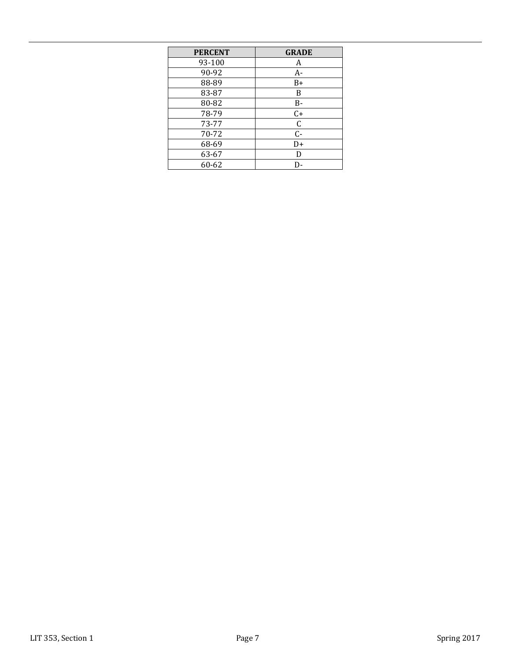| <b>PERCENT</b> | <b>GRADE</b> |
|----------------|--------------|
| 93-100         | A            |
| 90-92          | $A-$         |
| 88-89          | $B+$         |
| 83-87          | B            |
| 80-82          | B-           |
| 78-79          | $C+$         |
| 73-77          | $\mathsf C$  |
| 70-72          | $C -$        |
| 68-69          | D+           |
| 63-67          | D            |
| 60-62          | D-           |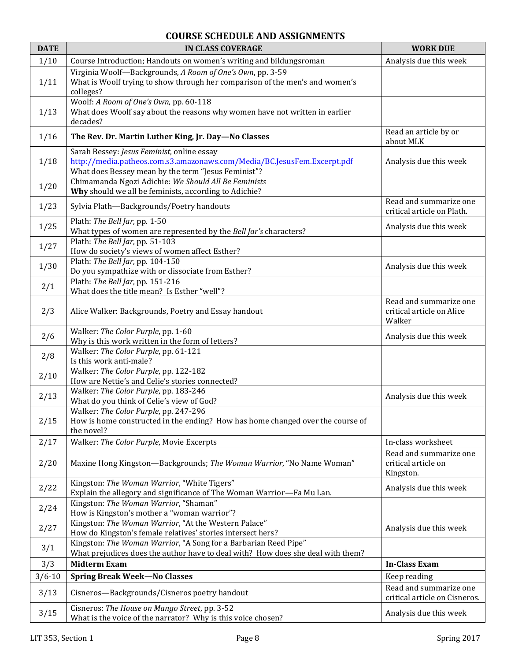# **COURSE SCHEDULE AND ASSIGNMENTS**

| <b>DATE</b> | <b>IN CLASS COVERAGE</b>                                                                                                                                                     | <b>WORK DUE</b>                                               |
|-------------|------------------------------------------------------------------------------------------------------------------------------------------------------------------------------|---------------------------------------------------------------|
| 1/10        | Course Introduction; Handouts on women's writing and bildungsroman                                                                                                           | Analysis due this week                                        |
| 1/11        | Virginia Woolf-Backgrounds, A Room of One's Own, pp. 3-59<br>What is Woolf trying to show through her comparison of the men's and women's<br>colleges?                       |                                                               |
| 1/13        | Woolf: A Room of One's Own, pp. 60-118<br>What does Woolf say about the reasons why women have not written in earlier<br>decades?                                            |                                                               |
| 1/16        | The Rev. Dr. Martin Luther King, Jr. Day-No Classes                                                                                                                          | Read an article by or<br>about MLK                            |
| 1/18        | Sarah Bessey: Jesus Feminist, online essay<br>http://media.patheos.com.s3.amazonaws.com/Media/BC.JesusFem.Excerpt.pdf<br>What does Bessey mean by the term "Jesus Feminist"? | Analysis due this week                                        |
| 1/20        | Chimamanda Ngozi Adichie: We Should All Be Feminists<br>Why should we all be feminists, according to Adichie?                                                                |                                                               |
| 1/23        | Sylvia Plath-Backgrounds/Poetry handouts                                                                                                                                     | Read and summarize one<br>critical article on Plath.          |
| 1/25        | Plath: The Bell Jar, pp. 1-50<br>What types of women are represented by the Bell Jar's characters?                                                                           | Analysis due this week                                        |
| 1/27        | Plath: The Bell Jar, pp. 51-103<br>How do society's views of women affect Esther?                                                                                            |                                                               |
| 1/30        | Plath: The Bell Jar, pp. 104-150<br>Do you sympathize with or dissociate from Esther?                                                                                        | Analysis due this week                                        |
| 2/1         | Plath: The Bell Jar, pp. 151-216<br>What does the title mean? Is Esther "well"?                                                                                              |                                                               |
| 2/3         | Alice Walker: Backgrounds, Poetry and Essay handout                                                                                                                          | Read and summarize one<br>critical article on Alice<br>Walker |
| 2/6         | Walker: The Color Purple, pp. 1-60<br>Why is this work written in the form of letters?                                                                                       | Analysis due this week                                        |
| 2/8         | Walker: The Color Purple, pp. 61-121<br>Is this work anti-male?                                                                                                              |                                                               |
| 2/10        | Walker: The Color Purple, pp. 122-182<br>How are Nettie's and Celie's stories connected?                                                                                     |                                                               |
| 2/13        | Walker: The Color Purple, pp. 183-246<br>What do you think of Celie's view of God?                                                                                           | Analysis due this week                                        |
| 2/15        | Walker: The Color Purple, pp. 247-296<br>How is home constructed in the ending? How has home changed over the course of<br>the novel?                                        |                                                               |
| 2/17        | Walker: The Color Purple, Movie Excerpts                                                                                                                                     | In-class worksheet                                            |
| 2/20        | Maxine Hong Kingston-Backgrounds; The Woman Warrior, "No Name Woman"                                                                                                         | Read and summarize one<br>critical article on<br>Kingston.    |
| 2/22        | Kingston: The Woman Warrior, "White Tigers"<br>Explain the allegory and significance of The Woman Warrior-Fa Mu Lan.                                                         | Analysis due this week                                        |
| 2/24        | Kingston: The Woman Warrior, "Shaman"<br>How is Kingston's mother a "woman warrior"?                                                                                         |                                                               |
| 2/27        | Kingston: The Woman Warrior, "At the Western Palace"<br>How do Kingston's female relatives' stories intersect hers?                                                          | Analysis due this week                                        |
| 3/1         | Kingston: The Woman Warrior, "A Song for a Barbarian Reed Pipe"<br>What prejudices does the author have to deal with? How does she deal with them?                           |                                                               |
| 3/3         | <b>Midterm Exam</b>                                                                                                                                                          | <b>In-Class Exam</b>                                          |
| $3/6 - 10$  | <b>Spring Break Week-No Classes</b>                                                                                                                                          | Keep reading                                                  |
| 3/13        | Cisneros-Backgrounds/Cisneros poetry handout                                                                                                                                 | Read and summarize one<br>critical article on Cisneros.       |
| 3/15        | Cisneros: The House on Mango Street, pp. 3-52<br>What is the voice of the narrator? Why is this voice chosen?                                                                | Analysis due this week                                        |